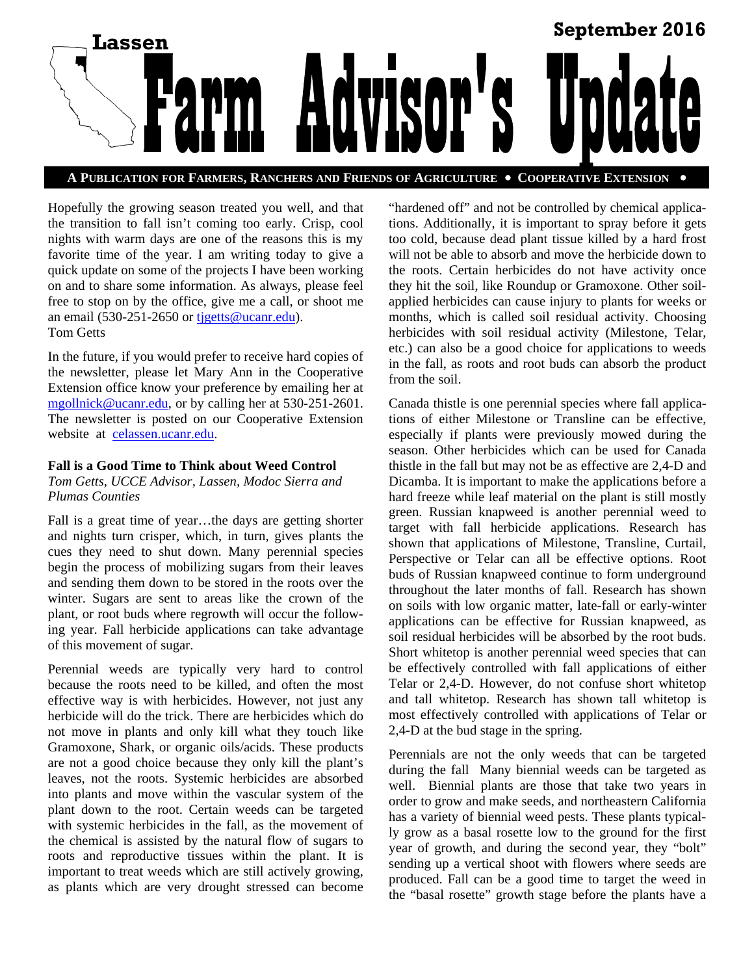

**A PUBLICATION FOR FARMERS, RANCHERS AND FRIENDS OF AGRICULTURE COOPERATIVE EXTENSION** 

Hopefully the growing season treated you well, and that the transition to fall isn't coming too early. Crisp, cool nights with warm days are one of the reasons this is my favorite time of the year. I am writing today to give a quick update on some of the projects I have been working on and to share some information. As always, please feel free to stop on by the office, give me a call, or shoot me an email (530-251-2650 or tjgetts@ucanr.edu). Tom Getts

In the future, if you would prefer to receive hard copies of the newsletter, please let Mary Ann in the Cooperative Extension office know your preference by emailing her at mgollnick@ucanr.edu, or by calling her at 530-251-2601. The newsletter is posted on our Cooperative Extension website at celassen.ucanr.edu.

#### **Fall is a Good Time to Think about Weed Control**

*Tom Getts, UCCE Advisor, Lassen, Modoc Sierra and Plumas Counties* 

Fall is a great time of year…the days are getting shorter and nights turn crisper, which, in turn, gives plants the cues they need to shut down. Many perennial species begin the process of mobilizing sugars from their leaves and sending them down to be stored in the roots over the winter. Sugars are sent to areas like the crown of the plant, or root buds where regrowth will occur the following year. Fall herbicide applications can take advantage of this movement of sugar.

Perennial weeds are typically very hard to control because the roots need to be killed, and often the most effective way is with herbicides. However, not just any herbicide will do the trick. There are herbicides which do not move in plants and only kill what they touch like Gramoxone, Shark, or organic oils/acids. These products are not a good choice because they only kill the plant's leaves, not the roots. Systemic herbicides are absorbed into plants and move within the vascular system of the plant down to the root. Certain weeds can be targeted with systemic herbicides in the fall, as the movement of the chemical is assisted by the natural flow of sugars to roots and reproductive tissues within the plant. It is important to treat weeds which are still actively growing, as plants which are very drought stressed can become "hardened off" and not be controlled by chemical applications. Additionally, it is important to spray before it gets too cold, because dead plant tissue killed by a hard frost will not be able to absorb and move the herbicide down to the roots. Certain herbicides do not have activity once they hit the soil, like Roundup or Gramoxone. Other soilapplied herbicides can cause injury to plants for weeks or months, which is called soil residual activity. Choosing herbicides with soil residual activity (Milestone, Telar, etc.) can also be a good choice for applications to weeds in the fall, as roots and root buds can absorb the product from the soil.

Canada thistle is one perennial species where fall applications of either Milestone or Transline can be effective, especially if plants were previously mowed during the season. Other herbicides which can be used for Canada thistle in the fall but may not be as effective are 2,4-D and Dicamba. It is important to make the applications before a hard freeze while leaf material on the plant is still mostly green. Russian knapweed is another perennial weed to target with fall herbicide applications. Research has shown that applications of Milestone, Transline, Curtail, Perspective or Telar can all be effective options. Root buds of Russian knapweed continue to form underground throughout the later months of fall. Research has shown on soils with low organic matter, late-fall or early-winter applications can be effective for Russian knapweed, as soil residual herbicides will be absorbed by the root buds. Short whitetop is another perennial weed species that can be effectively controlled with fall applications of either Telar or 2,4-D. However, do not confuse short whitetop and tall whitetop. Research has shown tall whitetop is most effectively controlled with applications of Telar or 2,4-D at the bud stage in the spring.

Perennials are not the only weeds that can be targeted during the fall Many biennial weeds can be targeted as well. Biennial plants are those that take two years in order to grow and make seeds, and northeastern California has a variety of biennial weed pests. These plants typically grow as a basal rosette low to the ground for the first year of growth, and during the second year, they "bolt" sending up a vertical shoot with flowers where seeds are produced. Fall can be a good time to target the weed in the "basal rosette" growth stage before the plants have a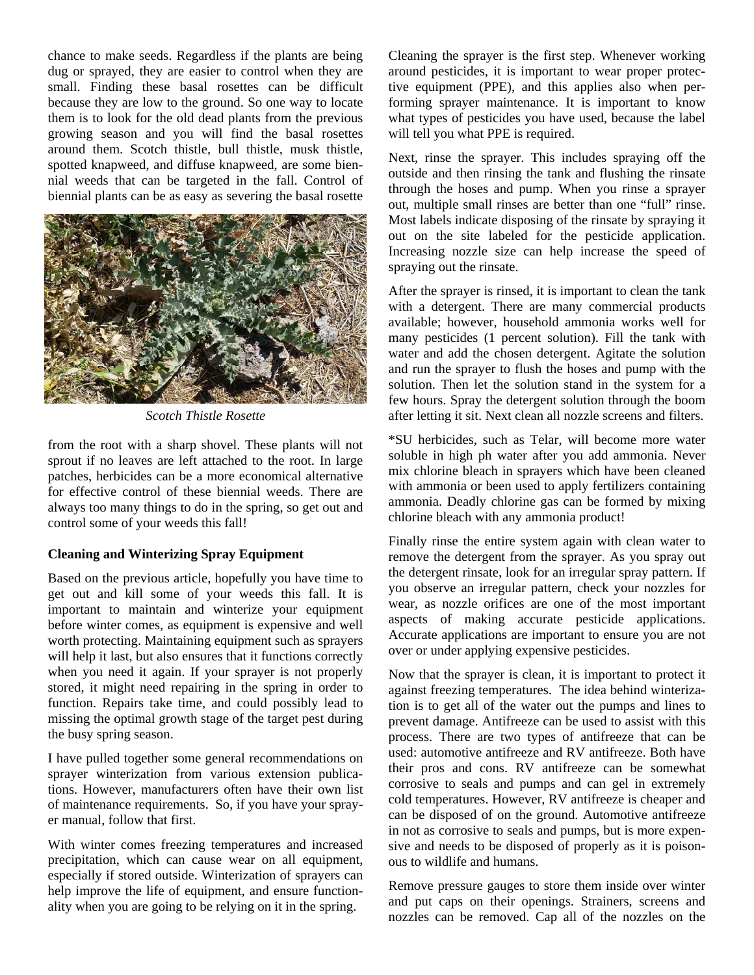chance to make seeds. Regardless if the plants are being dug or sprayed, they are easier to control when they are small. Finding these basal rosettes can be difficult because they are low to the ground. So one way to locate them is to look for the old dead plants from the previous growing season and you will find the basal rosettes around them. Scotch thistle, bull thistle, musk thistle, spotted knapweed, and diffuse knapweed, are some biennial weeds that can be targeted in the fall. Control of biennial plants can be as easy as severing the basal rosette



*Scotch Thistle Rosette* 

from the root with a sharp shovel. These plants will not sprout if no leaves are left attached to the root. In large patches, herbicides can be a more economical alternative for effective control of these biennial weeds. There are always too many things to do in the spring, so get out and control some of your weeds this fall!

#### **Cleaning and Winterizing Spray Equipment**

Based on the previous article, hopefully you have time to get out and kill some of your weeds this fall. It is important to maintain and winterize your equipment before winter comes, as equipment is expensive and well worth protecting. Maintaining equipment such as sprayers will help it last, but also ensures that it functions correctly when you need it again. If your sprayer is not properly stored, it might need repairing in the spring in order to function. Repairs take time, and could possibly lead to missing the optimal growth stage of the target pest during the busy spring season.

I have pulled together some general recommendations on sprayer winterization from various extension publications. However, manufacturers often have their own list of maintenance requirements. So, if you have your sprayer manual, follow that first.

With winter comes freezing temperatures and increased precipitation, which can cause wear on all equipment, especially if stored outside. Winterization of sprayers can help improve the life of equipment, and ensure functionality when you are going to be relying on it in the spring.

Cleaning the sprayer is the first step. Whenever working around pesticides, it is important to wear proper protective equipment (PPE), and this applies also when performing sprayer maintenance. It is important to know what types of pesticides you have used, because the label will tell you what PPE is required.

Next, rinse the sprayer. This includes spraying off the outside and then rinsing the tank and flushing the rinsate through the hoses and pump. When you rinse a sprayer out, multiple small rinses are better than one "full" rinse. Most labels indicate disposing of the rinsate by spraying it out on the site labeled for the pesticide application. Increasing nozzle size can help increase the speed of spraying out the rinsate.

After the sprayer is rinsed, it is important to clean the tank with a detergent. There are many commercial products available; however, household ammonia works well for many pesticides (1 percent solution). Fill the tank with water and add the chosen detergent. Agitate the solution and run the sprayer to flush the hoses and pump with the solution. Then let the solution stand in the system for a few hours. Spray the detergent solution through the boom after letting it sit. Next clean all nozzle screens and filters.

\*SU herbicides, such as Telar, will become more water soluble in high ph water after you add ammonia. Never mix chlorine bleach in sprayers which have been cleaned with ammonia or been used to apply fertilizers containing ammonia. Deadly chlorine gas can be formed by mixing chlorine bleach with any ammonia product!

Finally rinse the entire system again with clean water to remove the detergent from the sprayer. As you spray out the detergent rinsate, look for an irregular spray pattern. If you observe an irregular pattern, check your nozzles for wear, as nozzle orifices are one of the most important aspects of making accurate pesticide applications. Accurate applications are important to ensure you are not over or under applying expensive pesticides.

Now that the sprayer is clean, it is important to protect it against freezing temperatures. The idea behind winterization is to get all of the water out the pumps and lines to prevent damage. Antifreeze can be used to assist with this process. There are two types of antifreeze that can be used: automotive antifreeze and RV antifreeze. Both have their pros and cons. RV antifreeze can be somewhat corrosive to seals and pumps and can gel in extremely cold temperatures. However, RV antifreeze is cheaper and can be disposed of on the ground. Automotive antifreeze in not as corrosive to seals and pumps, but is more expensive and needs to be disposed of properly as it is poisonous to wildlife and humans.

Remove pressure gauges to store them inside over winter and put caps on their openings. Strainers, screens and nozzles can be removed. Cap all of the nozzles on the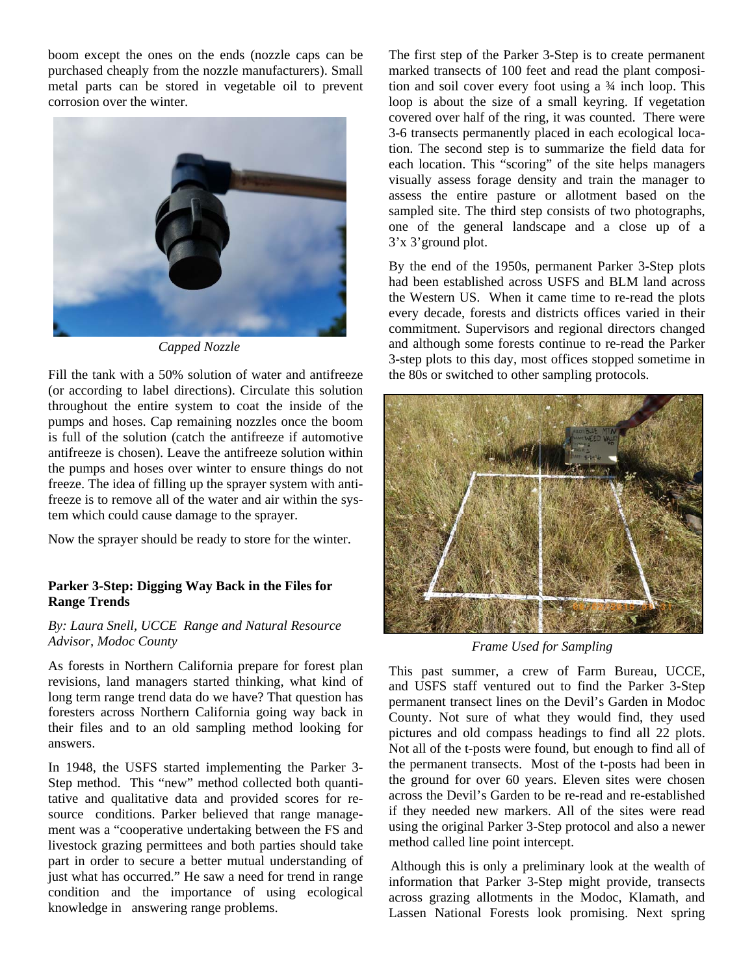boom except the ones on the ends (nozzle caps can be purchased cheaply from the nozzle manufacturers). Small metal parts can be stored in vegetable oil to prevent corrosion over the winter.



*Capped Nozzle* 

Fill the tank with a 50% solution of water and antifreeze (or according to label directions). Circulate this solution throughout the entire system to coat the inside of the pumps and hoses. Cap remaining nozzles once the boom is full of the solution (catch the antifreeze if automotive antifreeze is chosen). Leave the antifreeze solution within the pumps and hoses over winter to ensure things do not freeze. The idea of filling up the sprayer system with antifreeze is to remove all of the water and air within the system which could cause damage to the sprayer.

Now the sprayer should be ready to store for the winter.

# **Parker 3-Step: Digging Way Back in the Files for Range Trends**

# *By: Laura Snell, UCCE Range and Natural Resource Advisor, Modoc County*

As forests in Northern California prepare for forest plan revisions, land managers started thinking, what kind of long term range trend data do we have? That question has foresters across Northern California going way back in their files and to an old sampling method looking for answers.

In 1948, the USFS started implementing the Parker 3- Step method. This "new" method collected both quantitative and qualitative data and provided scores for resource conditions. Parker believed that range management was a "cooperative undertaking between the FS and livestock grazing permittees and both parties should take part in order to secure a better mutual understanding of just what has occurred." He saw a need for trend in range condition and the importance of using ecological knowledge in answering range problems.

The first step of the Parker 3-Step is to create permanent marked transects of 100 feet and read the plant composition and soil cover every foot using a ¾ inch loop. This loop is about the size of a small keyring. If vegetation covered over half of the ring, it was counted. There were 3-6 transects permanently placed in each ecological location. The second step is to summarize the field data for each location. This "scoring" of the site helps managers visually assess forage density and train the manager to assess the entire pasture or allotment based on the sampled site. The third step consists of two photographs, one of the general landscape and a close up of a 3'x 3'ground plot.

By the end of the 1950s, permanent Parker 3-Step plots had been established across USFS and BLM land across the Western US. When it came time to re-read the plots every decade, forests and districts offices varied in their commitment. Supervisors and regional directors changed and although some forests continue to re-read the Parker 3-step plots to this day, most offices stopped sometime in the 80s or switched to other sampling protocols.



*Frame Used for Sampling* 

This past summer, a crew of Farm Bureau, UCCE, and USFS staff ventured out to find the Parker 3-Step permanent transect lines on the Devil's Garden in Modoc County. Not sure of what they would find, they used pictures and old compass headings to find all 22 plots. Not all of the t-posts were found, but enough to find all of the permanent transects. Most of the t-posts had been in the ground for over 60 years. Eleven sites were chosen across the Devil's Garden to be re-read and re-established if they needed new markers. All of the sites were read using the original Parker 3-Step protocol and also a newer method called line point intercept.

Although this is only a preliminary look at the wealth of information that Parker 3-Step might provide, transects across grazing allotments in the Modoc, Klamath, and Lassen National Forests look promising. Next spring